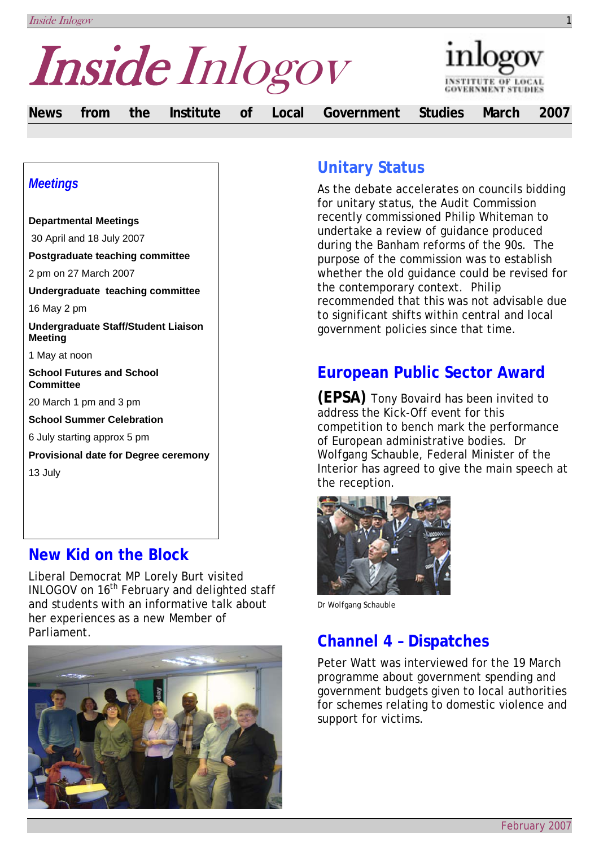Inside Inlogov 1



**News from the Institute of Local Government Studies March 2007** 

### *Meetings*

**Departmental Meetings**  30 April and 18 July 2007 **Postgraduate teaching committee**  2 pm on 27 March 2007 **Undergraduate teaching committee**  16 May 2 pm **Undergraduate Staff/Student Liaison Meeting**  1 May at noon **School Futures and School Committee**  20 March 1 pm and 3 pm **School Summer Celebration**  6 July starting approx 5 pm **Provisional date for Degree ceremony**  13 July

### **New Kid on the Block**

Liberal Democrat MP Lorely Burt visited INLOGOV on 16<sup>th</sup> February and delighted staff and students with an informative talk about her experiences as a new Member of Parliament.



# **Unitary Status**

As the debate accelerates on councils bidding for unitary status, the Audit Commission recently commissioned Philip Whiteman to undertake a review of guidance produced during the Banham reforms of the 90s. The purpose of the commission was to establish whether the old guidance could be revised for the contemporary context. Philip recommended that this was not advisable due to significant shifts within central and local government policies since that time.

# **European Public Sector Award**

**(EPSA)** Tony Bovaird has been invited to address the Kick-Off event for this competition to bench mark the performance of European administrative bodies. Dr Wolfgang Schauble, Federal Minister of the Interior has agreed to give the main speech at the reception.



Dr Wolfgang Schauble

# **Channel 4 – Dispatches**

Peter Watt was interviewed for the 19 March programme about government spending and government budgets given to local authorities for schemes relating to domestic violence and support for victims.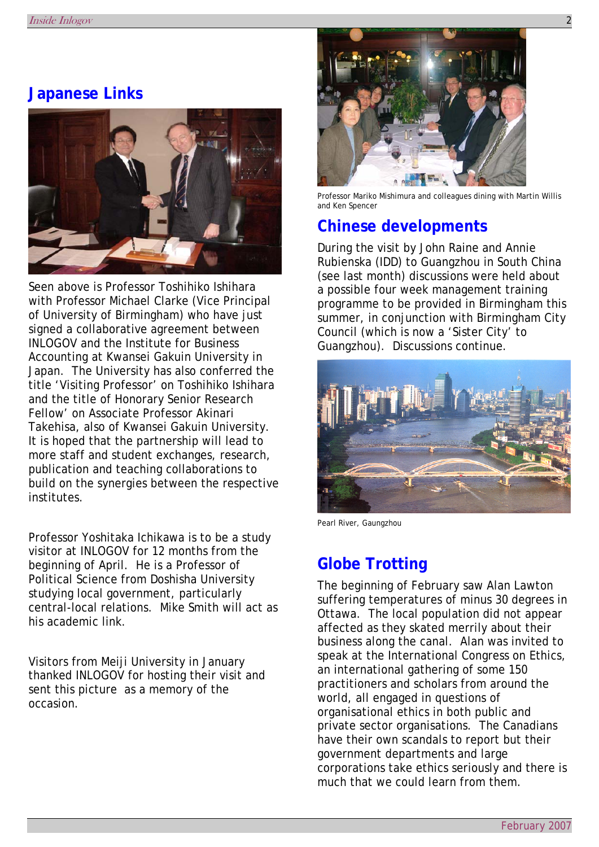### **Japanese Links**



Seen above is Professor Toshihiko Ishihara with Professor Michael Clarke (Vice Principal of University of Birmingham) who have just signed a collaborative agreement between INLOGOV and the Institute for Business Accounting at Kwansei Gakuin University in Japan. The University has also conferred the title 'Visiting Professor' on Toshihiko Ishihara and the title of Honorary Senior Research Fellow' on Associate Professor Akinari Takehisa, also of Kwansei Gakuin University. It is hoped that the partnership will lead to more staff and student exchanges, research, publication and teaching collaborations to build on the synergies between the respective institutes.

Professor Yoshitaka Ichikawa is to be a study visitor at INLOGOV for 12 months from the beginning of April. He is a Professor of Political Science from Doshisha University studying local government, particularly central-local relations. Mike Smith will act as his academic link.

Visitors from Meiji University in January thanked INLOGOV for hosting their visit and sent this picture as a memory of the occasion.



Professor Mariko Mishimura and colleagues dining with Martin Willis and Ken Spencer

# **Chinese developments**

During the visit by John Raine and Annie Rubienska (IDD) to Guangzhou in South China (see last month) discussions were held about a possible four week management training programme to be provided in Birmingham this summer, in conjunction with Birmingham City Council (which is now a 'Sister City' to Guangzhou). Discussions continue.



Pearl River, Gaungzhou

### **Globe Trotting**

The beginning of February saw Alan Lawton suffering temperatures of minus 30 degrees in Ottawa. The local population did not appear affected as they skated merrily about their business along the canal. Alan was invited to speak at the International Congress on Ethics, an international gathering of some 150 practitioners and scholars from around the world, all engaged in questions of organisational ethics in both public and private sector organisations. The Canadians have their own scandals to report but their government departments and large corporations take ethics seriously and there is much that we could learn from them.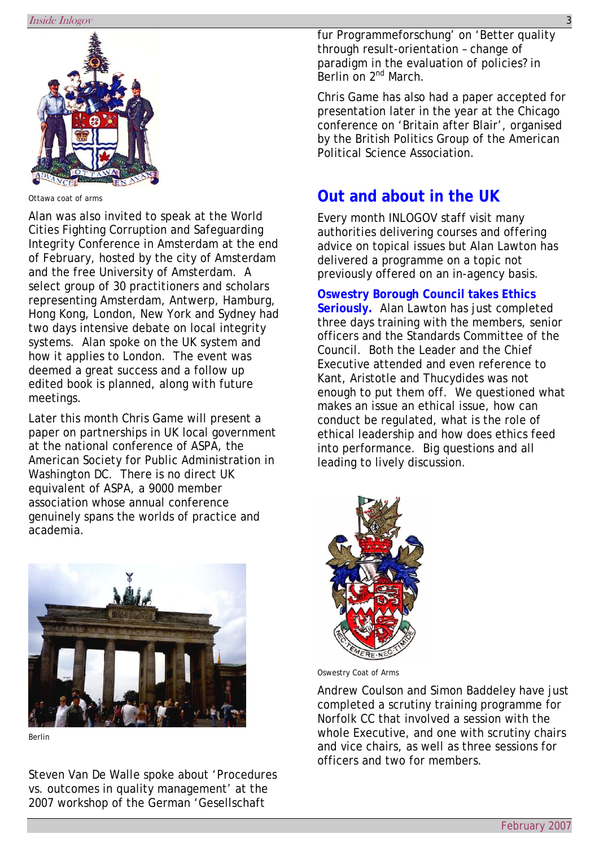

Ottawa coat of arms

Alan was also invited to speak at the World Cities Fighting Corruption and Safeguarding Integrity Conference in Amsterdam at the end of February, hosted by the city of Amsterdam and the free University of Amsterdam. A select group of 30 practitioners and scholars representing Amsterdam, Antwerp, Hamburg, Hong Kong, London, New York and Sydney had two days intensive debate on local integrity systems. Alan spoke on the UK system and how it applies to London. The event was deemed a great success and a follow up edited book is planned, along with future meetings.

Later this month Chris Game will present a paper on partnerships in UK local government at the national conference of ASPA, the American Society for Public Administration in Washington DC. There is no direct UK equivalent of ASPA, a 9000 member association whose annual conference genuinely spans the worlds of practice and academia.



Berlin

Steven Van De Walle spoke about 'Procedures vs. outcomes in quality management' at the 2007 workshop of the German 'Gesellschaft

fur Programmeforschung' on 'Better quality through result-orientation – change of paradigm in the evaluation of policies? in .<br>Berlin on 2<sup>nd</sup> March.

Chris Game has also had a paper accepted for presentation later in the year at the Chicago conference on 'Britain after Blair', organised by the British Politics Group of the American Political Science Association.

# **Out and about in the UK**

Every month INLOGOV staff visit many authorities delivering courses and offering advice on topical issues but Alan Lawton has delivered a programme on a topic not previously offered on an in-agency basis.

#### **Oswestry Borough Council takes Ethics**

**Seriously.** Alan Lawton has just completed three days training with the members, senior officers and the Standards Committee of the Council. Both the Leader and the Chief Executive attended and even reference to Kant, Aristotle and Thucydides was not enough to put them off. We questioned what makes an issue an ethical issue, how can conduct be regulated, what is the role of ethical leadership and how does ethics feed into performance. Big questions and all leading to lively discussion.



Oswestry Coat of Arms

Andrew Coulson and Simon Baddeley have just completed a scrutiny training programme for Norfolk CC that involved a session with the whole Executive, and one with scrutiny chairs and vice chairs, as well as three sessions for officers and two for members.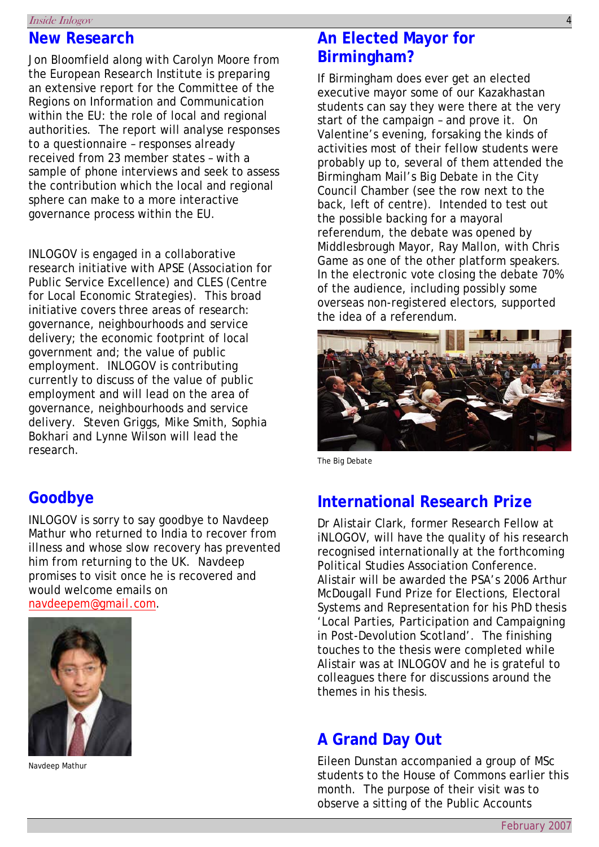#### Inside Inlogov 4

### **New Research**

Jon Bloomfield along with Carolyn Moore from the European Research Institute is preparing an extensive report for the Committee of the Regions on Information and Communication within the EU: the role of local and regional authorities. The report will analyse responses to a questionnaire – responses already received from 23 member states – with a sample of phone interviews and seek to assess the contribution which the local and regional sphere can make to a more interactive governance process within the EU.

INLOGOV is engaged in a collaborative research initiative with APSE (Association for Public Service Excellence) and CLES (Centre for Local Economic Strategies). This broad initiative covers three areas of research: governance, neighbourhoods and service delivery; the economic footprint of local government and; the value of public employment. INLOGOV is contributing currently to discuss of the value of public employment and will lead on the area of governance, neighbourhoods and service delivery. Steven Griggs, Mike Smith, Sophia Bokhari and Lynne Wilson will lead the research.

## **Goodbye**

INLOGOV is sorry to say goodbye to Navdeep Mathur who returned to India to recover from illness and whose slow recovery has prevented him from returning to the UK. Navdeep promises to visit once he is recovered and would welcome emails on *[navdeepem@gmail.com](mailto:navdeepem@gmail.com)*.



Navdeep Mathur

# **An Elected Mayor for Birmingham?**

If Birmingham does ever get an elected executive mayor some of our Kazakhastan students can say they were there at the very start of the campaign – and prove it. On Valentine's evening, forsaking the kinds of activities most of their fellow students were probably up to, several of them attended the Birmingham Mail's Big Debate in the City Council Chamber (see the row next to the back, left of centre). Intended to test out the possible backing for a mayoral referendum, the debate was opened by Middlesbrough Mayor, Ray Mallon, with Chris Game as one of the other platform speakers. In the electronic vote closing the debate 70% of the audience, including possibly some overseas non-registered electors, supported the idea of a referendum.



The Big Debate

## **International Research Prize**

Dr Alistair Clark, former Research Fellow at iNLOGOV, will have the quality of his research recognised internationally at the forthcoming Political Studies Association Conference. Alistair will be awarded the PSA's 2006 Arthur McDougall Fund Prize for Elections, Electoral Systems and Representation for his PhD thesis 'Local Parties, Participation and Campaigning in Post-Devolution Scotland'. The finishing touches to the thesis were completed while Alistair was at INLOGOV and he is grateful to colleagues there for discussions around the themes in his thesis.

### **A Grand Day Out**

Eileen Dunstan accompanied a group of MSc students to the House of Commons earlier this month. The purpose of their visit was to observe a sitting of the Public Accounts